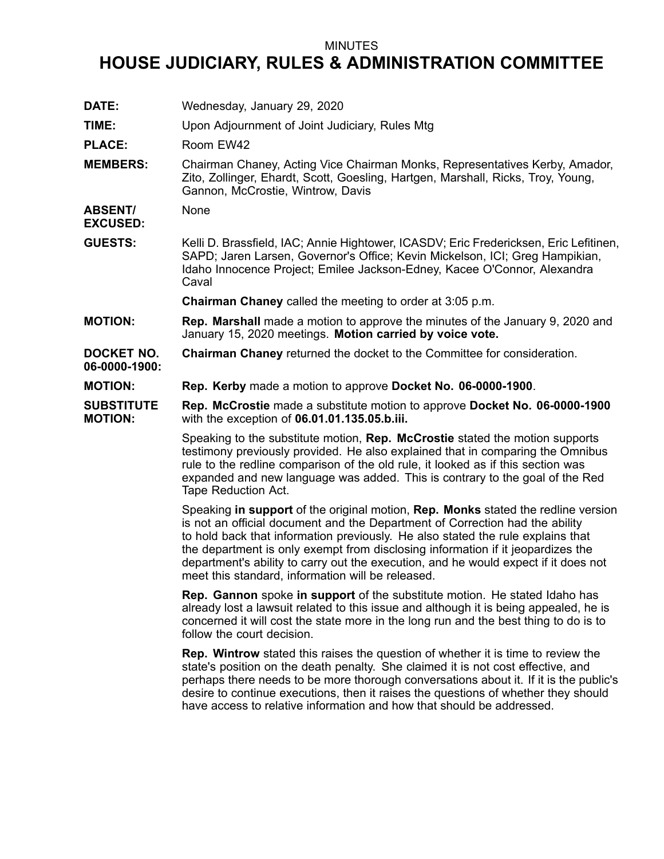## MINUTES

## **HOUSE JUDICIARY, RULES & ADMINISTRATION COMMITTEE**

**DATE:** Wednesday, January 29, 2020 **TIME:** Upon Adjournment of Joint Judiciary, Rules Mtg PLACE: Room EW42 **MEMBERS:** Chairman Chaney, Acting Vice Chairman Monks, Representatives Kerby, Amador, Zito, Zollinger, Ehardt, Scott, Goesling, Hartgen, Marshall, Ricks, Troy, Young, Gannon, McCrostie, Wintrow, Davis **ABSENT/ EXCUSED:** None **GUESTS:** Kelli D. Brassfield, IAC; Annie Hightower, ICASDV; Eric Fredericksen, Eric Lefitinen, SAPD; Jaren Larsen, Governor's Office; Kevin Mickelson, ICI; Greg Hampikian, Idaho Innocence Project; Emilee Jackson-Edney, Kacee O'Connor, Alexandra Caval **Chairman Chaney** called the meeting to order at 3:05 p.m. **MOTION: Rep. Marshall** made <sup>a</sup> motion to approve the minutes of the January 9, 2020 and January 15, 2020 meetings. **Motion carried by voice vote. DOCKET NO. 06-0000-1900: Chairman Chaney** returned the docket to the Committee for consideration. **MOTION: Rep. Kerby** made <sup>a</sup> motion to approve **Docket No. 06-0000-1900**. **SUBSTITUTE MOTION: Rep. McCrostie** made <sup>a</sup> substitute motion to approve **Docket No. 06-0000-1900** with the exception of **06.01.01.135.05.b.iii.** Speaking to the substitute motion, **Rep. McCrostie** stated the motion supports testimony previously provided. He also explained that in comparing the Omnibus rule to the redline comparison of the old rule, it looked as if this section was expanded and new language was added. This is contrary to the goal of the Red Tape Reduction Act. Speaking **in support** of the original motion, **Rep. Monks** stated the redline version is not an official document and the Department of Correction had the ability to hold back that information previously. He also stated the rule explains that the department is only exempt from disclosing information if it jeopardizes the department's ability to carry out the execution, and he would expect if it does not meet this standard, information will be released. **Rep. Gannon** spoke **in support** of the substitute motion. He stated Idaho has already lost <sup>a</sup> lawsuit related to this issue and although it is being appealed, he is concerned it will cost the state more in the long run and the best thing to do is to follow the court decision. **Rep. Wintrow** stated this raises the question of whether it is time to review the state's position on the death penalty. She claimed it is not cost effective, and perhaps there needs to be more thorough conversations about it. If it is the public's desire to continue executions, then it raises the questions of whether they should have access to relative information and how that should be addressed.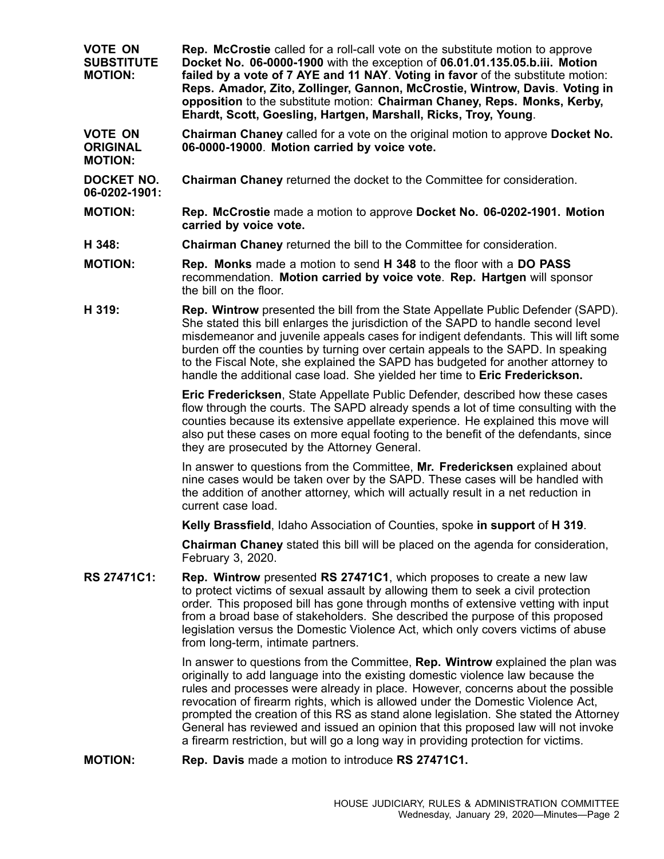**VOTE ON SUBSTITUTE MOTION: Rep. McCrostie** called for <sup>a</sup> roll-call vote on the substitute motion to approve **Docket No. 06-0000-1900** with the exception of **06.01.01.135.05.b.iii. Motion failed by <sup>a</sup> vote of 7 AYE and 11 NAY**. **Voting in favor** of the substitute motion: **Reps. Amador, Zito, Zollinger, Gannon, McCrostie, Wintrow, Davis**. **Voting in opposition** to the substitute motion: **Chairman Chaney, Reps. Monks, Kerby, Ehardt, Scott, Goesling, Hartgen, Marshall, Ricks, Troy, Young**.

**VOTE ON ORIGINAL MOTION: Chairman Chaney** called for <sup>a</sup> vote on the original motion to approve **Docket No. 06-0000-19000**. **Motion carried by voice vote.**

- **DOCKET NO. Chairman Chaney** returned the docket to the Committee for consideration.
- **MOTION: Rep. McCrostie** made <sup>a</sup> motion to approve **Docket No. 06-0202-1901. Motion carried by voice vote.**
- **H 348: Chairman Chaney** returned the bill to the Committee for consideration.

**06-0202-1901:**

- **MOTION: Rep. Monks** made <sup>a</sup> motion to send **H 348** to the floor with <sup>a</sup> **DO PASS** recommendation. **Motion carried by voice vote**. **Rep. Hartgen** will sponsor the bill on the floor.
- **H 319: Rep. Wintrow** presented the bill from the State Appellate Public Defender (SAPD). She stated this bill enlarges the jurisdiction of the SAPD to handle second level misdemeanor and juvenile appeals cases for indigent defendants. This will lift some burden off the counties by turning over certain appeals to the SAPD. In speaking to the Fiscal Note, she explained the SAPD has budgeted for another attorney to handle the additional case load. She yielded her time to **Eric Frederickson.**

**Eric Fredericksen**, State Appellate Public Defender, described how these cases flow through the courts. The SAPD already spends <sup>a</sup> lot of time consulting with the counties because its extensive appellate experience. He explained this move will also put these cases on more equal footing to the benefit of the defendants, since they are prosecuted by the Attorney General.

In answer to questions from the Committee, **Mr. Fredericksen** explained about nine cases would be taken over by the SAPD. These cases will be handled with the addition of another attorney, which will actually result in <sup>a</sup> net reduction in current case load.

**Kelly Brassfield**, Idaho Association of Counties, spoke **in support** of **H 319**.

**Chairman Chaney** stated this bill will be placed on the agenda for consideration, February 3, 2020.

**RS 27471C1: Rep. Wintrow** presented **RS 27471C1**, which proposes to create <sup>a</sup> new law to protect victims of sexual assault by allowing them to seek <sup>a</sup> civil protection order. This proposed bill has gone through months of extensive vetting with input from <sup>a</sup> broad base of stakeholders. She described the purpose of this proposed legislation versus the Domestic Violence Act, which only covers victims of abuse from long-term, intimate partners.

> In answer to questions from the Committee, **Rep. Wintrow** explained the plan was originally to add language into the existing domestic violence law because the rules and processes were already in place. However, concerns about the possible revocation of firearm rights, which is allowed under the Domestic Violence Act, prompted the creation of this RS as stand alone legislation. She stated the Attorney General has reviewed and issued an opinion that this proposed law will not invoke <sup>a</sup> firearm restriction, but will go <sup>a</sup> long way in providing protection for victims.

**MOTION: Rep. Davis** made <sup>a</sup> motion to introduce **RS 27471C1.**